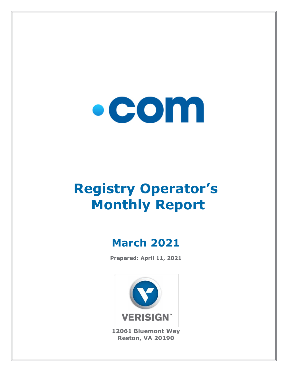

# **Registry Operator's Monthly Report**

# **March 2021**

**Prepared: April 11, 2021**



**12061 Bluemont Way Reston, VA 20190**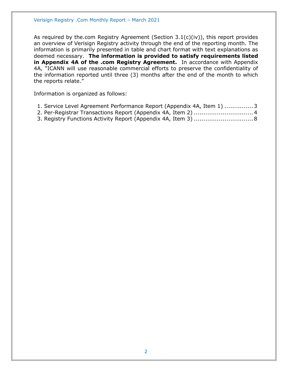As required by the.com Registry Agreement (Section 3.1(c)(iv)), this report provides an overview of Verisign Registry activity through the end of the reporting month. The information is primarily presented in table and chart format with text explanations as deemed necessary. **The information is provided to satisfy requirements listed in Appendix 4A of the .com Registry Agreement.** In accordance with Appendix 4A, "ICANN will use reasonable commercial efforts to preserve the confidentiality of the information reported until three (3) months after the end of the month to which the reports relate."

Information is organized as follows:

- [1. Service Level Agreement Performance Report \(Appendix 4A, Item 1\)](#page-2-0) ...............3
- [2. Per-Registrar Transactions Report \(Appendix 4A,](#page-3-0) Item 2) ...............................4
- [3. Registry Functions Activity Report \(Appendix 4A, Item 3\)](#page-7-0) ...............................8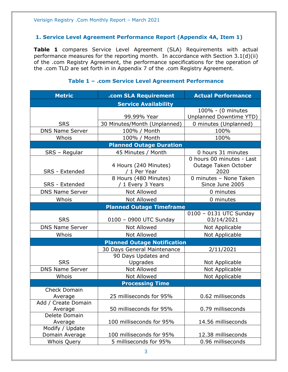#### <span id="page-2-0"></span>**1. Service Level Agreement Performance Report (Appendix 4A, Item 1)**

**Table 1** compares Service Level Agreement (SLA) Requirements with actual performance measures for the reporting month. In accordance with Section 3.1(d)(ii) of the .com Registry Agreement, the performance specifications for the operation of the .com TLD are set forth in in Appendix 7 of the .com Registry Agreement.

| <b>Metric</b>                             | .com SLA Requirement                       | <b>Actual Performance</b>                                 |  |  |
|-------------------------------------------|--------------------------------------------|-----------------------------------------------------------|--|--|
|                                           | <b>Service Availability</b>                |                                                           |  |  |
|                                           |                                            | 100% - (0 minutes                                         |  |  |
|                                           | 99.99% Year                                | Unplanned Downtime YTD)                                   |  |  |
| <b>SRS</b>                                | 30 Minutes/Month (Unplanned)               | 0 minutes (Unplanned)                                     |  |  |
| <b>DNS Name Server</b>                    | 100% / Month                               | 100%                                                      |  |  |
| Whois                                     | 100% / Month                               | 100%                                                      |  |  |
|                                           | <b>Planned Outage Duration</b>             |                                                           |  |  |
| SRS - Regular                             | 45 Minutes / Month                         | 0 hours 31 minutes                                        |  |  |
| SRS - Extended                            | 4 Hours (240 Minutes)<br>/ 1 Per Year      | 0 hours 00 minutes - Last<br>Outage Taken October<br>2020 |  |  |
| SRS - Extended                            | 8 Hours (480 Minutes)<br>/ 1 Every 3 Years | 0 minutes - None Taken<br>Since June 2005                 |  |  |
| <b>DNS Name Server</b>                    | <b>Not Allowed</b>                         | 0 minutes                                                 |  |  |
| Whois                                     | <b>Not Allowed</b>                         | 0 minutes                                                 |  |  |
|                                           | <b>Planned Outage Timeframe</b>            |                                                           |  |  |
|                                           |                                            | 0100 - 0131 UTC Sunday                                    |  |  |
| <b>SRS</b>                                | 0100 - 0900 UTC Sunday                     | 03/14/2021                                                |  |  |
| <b>DNS Name Server</b>                    | <b>Not Allowed</b>                         | Not Applicable                                            |  |  |
| Whois                                     | <b>Not Allowed</b>                         | Not Applicable                                            |  |  |
| <b>Planned Outage Notification</b>        |                                            |                                                           |  |  |
|                                           | 30 Days General Maintenance                | 2/11/2021                                                 |  |  |
| <b>SRS</b>                                | 90 Days Updates and<br>Upgrades            | Not Applicable                                            |  |  |
| <b>DNS Name Server</b>                    | <b>Not Allowed</b>                         | Not Applicable                                            |  |  |
| Whois                                     | <b>Not Allowed</b>                         | Not Applicable                                            |  |  |
| <b>Processing Time</b>                    |                                            |                                                           |  |  |
| <b>Check Domain</b>                       | 25 milliseconds for 95%                    | 0.62 milliseconds                                         |  |  |
| Average<br>Add / Create Domain<br>Average | 50 milliseconds for 95%                    | 0.79 milliseconds                                         |  |  |
| Delete Domain<br>Average                  | 100 milliseconds for 95%                   | 14.56 milliseconds                                        |  |  |
| Modify / Update<br>Domain Average         | 100 milliseconds for 95%                   | 12.38 milliseconds                                        |  |  |
| <b>Whois Query</b>                        | 5 milliseconds for 95%                     | 0.96 milliseconds                                         |  |  |

#### **Table 1 – .com Service Level Agreement Performance**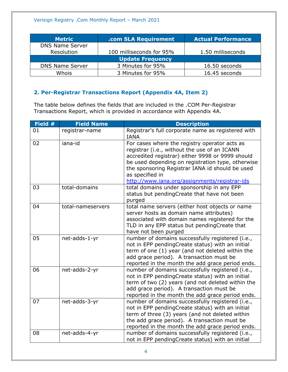| <b>Metric</b>           | .com SLA Requirement     | <b>Actual Performance</b> |  |
|-------------------------|--------------------------|---------------------------|--|
| <b>DNS Name Server</b>  |                          |                           |  |
| Resolution              | 100 milliseconds for 95% | 1.50 milliseconds         |  |
| <b>Update Frequency</b> |                          |                           |  |
| <b>DNS Name Server</b>  | 3 Minutes for 95%        | 16.50 seconds             |  |
| Whois                   | 3 Minutes for 95%        | 16.45 seconds             |  |

# <span id="page-3-0"></span>**2. Per-Registrar Transactions Report (Appendix 4A, Item 2)**

The table below defines the fields that are included in the .COM Per-Registrar Transactions Report, which is provided in accordance with Appendix 4A.

| Field # | <b>Field Name</b> | <b>Description</b>                                                                                                                                                                                                                                                                                                            |
|---------|-------------------|-------------------------------------------------------------------------------------------------------------------------------------------------------------------------------------------------------------------------------------------------------------------------------------------------------------------------------|
| 01      | registrar-name    | Registrar's full corporate name as registered with<br><b>IANA</b>                                                                                                                                                                                                                                                             |
| 02      | iana-id           | For cases where the registry operator acts as<br>registrar (i.e., without the use of an ICANN<br>accredited registrar) either 9998 or 9999 should<br>be used depending on registration type, otherwise<br>the sponsoring Registrar IANA id should be used<br>as specified in<br>http://www.iana.org/assignments/registrar-ids |
| 03      | total-domains     | total domains under sponsorship in any EPP<br>status but pendingCreate that have not been<br>purged                                                                                                                                                                                                                           |
| 04      | total-nameservers | total name servers (either host objects or name<br>server hosts as domain name attributes)<br>associated with domain names registered for the<br>TLD in any EPP status but pendingCreate that<br>have not been purged                                                                                                         |
| 05      | net-adds-1-yr     | number of domains successfully registered (i.e.,<br>not in EPP pendingCreate status) with an initial<br>term of one (1) year (and not deleted within the<br>add grace period). A transaction must be<br>reported in the month the add grace period ends.                                                                      |
| 06      | net-adds-2-yr     | number of domains successfully registered (i.e.,<br>not in EPP pendingCreate status) with an initial<br>term of two (2) years (and not deleted within the<br>add grace period). A transaction must be<br>reported in the month the add grace period ends.                                                                     |
| 07      | net-adds-3-yr     | number of domains successfully registered (i.e.,<br>not in EPP pendingCreate status) with an initial<br>term of three (3) years (and not deleted within<br>the add grace period). A transaction must be<br>reported in the month the add grace period ends.                                                                   |
| 08      | net-adds-4-yr     | number of domains successfully registered (i.e.,<br>not in EPP pendingCreate status) with an initial                                                                                                                                                                                                                          |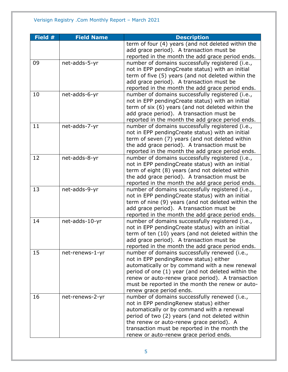| Field # | <b>Field Name</b> | <b>Description</b>                                 |
|---------|-------------------|----------------------------------------------------|
|         |                   | term of four (4) years (and not deleted within the |
|         |                   | add grace period). A transaction must be           |
|         |                   | reported in the month the add grace period ends.   |
| 09      | net-adds-5-yr     | number of domains successfully registered (i.e.,   |
|         |                   | not in EPP pendingCreate status) with an initial   |
|         |                   | term of five (5) years (and not deleted within the |
|         |                   | add grace period). A transaction must be           |
|         |                   | reported in the month the add grace period ends.   |
| 10      | net-adds-6-yr     | number of domains successfully registered (i.e.,   |
|         |                   | not in EPP pendingCreate status) with an initial   |
|         |                   | term of six (6) years (and not deleted within the  |
|         |                   | add grace period). A transaction must be           |
|         |                   | reported in the month the add grace period ends.   |
| 11      | net-adds-7-yr     | number of domains successfully registered (i.e.,   |
|         |                   | not in EPP pendingCreate status) with an initial   |
|         |                   | term of seven (7) years (and not deleted within    |
|         |                   | the add grace period). A transaction must be       |
|         |                   | reported in the month the add grace period ends.   |
| 12      | net-adds-8-yr     | number of domains successfully registered (i.e.,   |
|         |                   | not in EPP pendingCreate status) with an initial   |
|         |                   | term of eight (8) years (and not deleted within    |
|         |                   | the add grace period). A transaction must be       |
|         |                   | reported in the month the add grace period ends.   |
| 13      | net-adds-9-yr     | number of domains successfully registered (i.e.,   |
|         |                   | not in EPP pendingCreate status) with an initial   |
|         |                   | term of nine (9) years (and not deleted within the |
|         |                   | add grace period). A transaction must be           |
|         |                   | reported in the month the add grace period ends.   |
| 14      | net-adds-10-yr    | number of domains successfully registered (i.e.,   |
|         |                   | not in EPP pendingCreate status) with an initial   |
|         |                   | term of ten (10) years (and not deleted within the |
|         |                   | add grace period). A transaction must be           |
|         |                   | reported in the month the add grace period ends.   |
| 15      | net-renews-1-yr   | number of domains successfully renewed (i.e.,      |
|         |                   | not in EPP pendingRenew status) either             |
|         |                   | automatically or by command with a new renewal     |
|         |                   | period of one (1) year (and not deleted within the |
|         |                   | renew or auto-renew grace period). A transaction   |
|         |                   | must be reported in the month the renew or auto-   |
|         |                   | renew grace period ends.                           |
| 16      | net-renews-2-yr   | number of domains successfully renewed (i.e.,      |
|         |                   | not in EPP pending Renew status) either            |
|         |                   | automatically or by command with a renewal         |
|         |                   | period of two (2) years (and not deleted within    |
|         |                   | the renew or auto-renew grace period). A           |
|         |                   | transaction must be reported in the month the      |
|         |                   | renew or auto-renew grace period ends.             |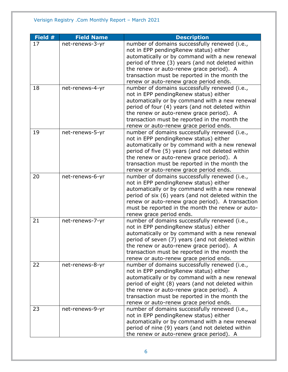| Field # | <b>Field Name</b> | <b>Description</b>                                                                                                                                                                                                                                                                                                                    |
|---------|-------------------|---------------------------------------------------------------------------------------------------------------------------------------------------------------------------------------------------------------------------------------------------------------------------------------------------------------------------------------|
| 17      | net-renews-3-yr   | number of domains successfully renewed (i.e.,<br>not in EPP pendingRenew status) either<br>automatically or by command with a new renewal<br>period of three (3) years (and not deleted within                                                                                                                                        |
|         |                   | the renew or auto-renew grace period). A<br>transaction must be reported in the month the<br>renew or auto-renew grace period ends.                                                                                                                                                                                                   |
| 18      | net-renews-4-yr   | number of domains successfully renewed (i.e.,<br>not in EPP pendingRenew status) either<br>automatically or by command with a new renewal<br>period of four (4) years (and not deleted within<br>the renew or auto-renew grace period). A<br>transaction must be reported in the month the<br>renew or auto-renew grace period ends.  |
| 19      | net-renews-5-yr   | number of domains successfully renewed (i.e.,<br>not in EPP pendingRenew status) either<br>automatically or by command with a new renewal<br>period of five (5) years (and not deleted within<br>the renew or auto-renew grace period). A<br>transaction must be reported in the month the<br>renew or auto-renew grace period ends.  |
| 20      | net-renews-6-yr   | number of domains successfully renewed (i.e.,<br>not in EPP pendingRenew status) either<br>automatically or by command with a new renewal<br>period of six (6) years (and not deleted within the<br>renew or auto-renew grace period). A transaction<br>must be reported in the month the renew or auto-<br>renew grace period ends.  |
| 21      | net-renews-7-yr   | number of domains successfully renewed (i.e.,<br>not in EPP pendingRenew status) either<br>automatically or by command with a new renewal<br>period of seven (7) years (and not deleted within<br>the renew or auto-renew grace period). A<br>transaction must be reported in the month the<br>renew or auto-renew grace period ends. |
| 22      | net-renews-8-yr   | number of domains successfully renewed (i.e.,<br>not in EPP pendingRenew status) either<br>automatically or by command with a new renewal<br>period of eight (8) years (and not deleted within<br>the renew or auto-renew grace period). A<br>transaction must be reported in the month the<br>renew or auto-renew grace period ends. |
| 23      | net-renews-9-yr   | number of domains successfully renewed (i.e.,<br>not in EPP pendingRenew status) either<br>automatically or by command with a new renewal<br>period of nine (9) years (and not deleted within<br>the renew or auto-renew grace period). A                                                                                             |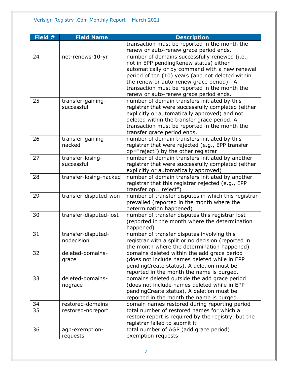| Field # | <b>Field Name</b>      | <b>Description</b>                                  |
|---------|------------------------|-----------------------------------------------------|
|         |                        | transaction must be reported in the month the       |
|         |                        | renew or auto-renew grace period ends.              |
| 24      | net-renews-10-yr       | number of domains successfully renewed (i.e.,       |
|         |                        | not in EPP pendingRenew status) either              |
|         |                        | automatically or by command with a new renewal      |
|         |                        | period of ten (10) years (and not deleted within    |
|         |                        | the renew or auto-renew grace period). A            |
|         |                        | transaction must be reported in the month the       |
|         |                        | renew or auto-renew grace period ends.              |
| 25      | transfer-gaining-      | number of domain transfers initiated by this        |
|         | successful             | registrar that were successfully completed (either  |
|         |                        | explicitly or automatically approved) and not       |
|         |                        | deleted within the transfer grace period. A         |
|         |                        | transaction must be reported in the month the       |
|         |                        | transfer grace period ends.                         |
| 26      | transfer-gaining-      | number of domain transfers initiated by this        |
|         | nacked                 | registrar that were rejected (e.g., EPP transfer    |
|         |                        | op="reject") by the other registrar                 |
| 27      | transfer-losing-       | number of domain transfers initiated by another     |
|         | successful             | registrar that were successfully completed (either  |
|         |                        | explicitly or automatically approved)               |
| 28      | transfer-losing-nacked | number of domain transfers initiated by another     |
|         |                        | registrar that this registrar rejected (e.g., EPP   |
|         |                        | transfer op="reject")                               |
| 29      | transfer-disputed-won  | number of transfer disputes in which this registrar |
|         |                        | prevailed (reported in the month where the          |
|         |                        | determination happened)                             |
| 30      | transfer-disputed-lost | number of transfer disputes this registrar lost     |
|         |                        | (reported in the month where the determination      |
|         |                        | happened)                                           |
| 31      | transfer-disputed-     | number of transfer disputes involving this          |
|         | nodecision             | registrar with a split or no decision (reported in  |
|         |                        | the month where the determination happened)         |
| 32      | deleted-domains-       | domains deleted within the add grace period         |
|         | grace                  | (does not include names deleted while in EPP        |
|         |                        | pendingCreate status). A deletion must be           |
|         |                        | reported in the month the name is purged.           |
| 33      | deleted-domains-       | domains deleted outside the add grace period        |
|         | nograce                | (does not include names deleted while in EPP        |
|         |                        | pendingCreate status). A deletion must be           |
|         |                        | reported in the month the name is purged.           |
| 34      | restored-domains       | domain names restored during reporting period       |
| 35      | restored-noreport      | total number of restored names for which a          |
|         |                        | restore report is required by the registry, but the |
|         |                        | registrar failed to submit it                       |
| 36      | agp-exemption-         | total number of AGP (add grace period)              |
|         | requests               | exemption requests                                  |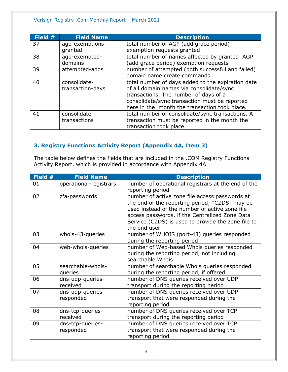| Field # | <b>Field Name</b> | <b>Description</b>                                |
|---------|-------------------|---------------------------------------------------|
| 37      | agp-exemptions-   | total number of AGP (add grace period)            |
|         | granted           | exemption requests granted                        |
| 38      | agp-exempted-     | total number of names affected by granted AGP     |
|         | domains           | (add grace period) exemption requests             |
| 39      | attempted-adds    | number of attempted (both successful and failed)  |
|         |                   | domain name create commands                       |
| 40      | consolidate-      | total number of days added to the expiration date |
|         | transaction-days  | of all domain names via consolidate/sync          |
|         |                   | transactions. The number of days of a             |
|         |                   | consolidate/sync transaction must be reported     |
|         |                   | here in the month the transaction took place.     |
| 41      | consolidate-      | total number of consolidate/sync transactions. A  |
|         | transactions      | transaction must be reported in the month the     |
|         |                   | transaction took place.                           |

# <span id="page-7-0"></span>**3. Registry Functions Activity Report (Appendix 4A, Item 3)**

The table below defines the fields that are included in the .COM Registry Functions Activity Report, which is provided in accordance with Appendix 4A.

| Field # | <b>Field Name</b>             | <b>Description</b>                                                                                                                                                                                                                                                         |
|---------|-------------------------------|----------------------------------------------------------------------------------------------------------------------------------------------------------------------------------------------------------------------------------------------------------------------------|
| 01      | operational-registrars        | number of operational registrars at the end of the<br>reporting period                                                                                                                                                                                                     |
| 02      | zfa-passwords                 | number of active zone file access passwords at<br>the end of the reporting period; "CZDS" may be<br>used instead of the number of active zone file<br>access passwords, if the Centralized Zone Data<br>Service (CZDS) is used to provide the zone file to<br>the end user |
| 03      | whois-43-queries              | number of WHOIS (port-43) queries responded<br>during the reporting period                                                                                                                                                                                                 |
| 04      | web-whois-queries             | number of Web-based Whois queries responded<br>during the reporting period, not including<br>searchable Whois                                                                                                                                                              |
| 05      | searchable-whois-<br>queries  | number of searchable Whois queries responded<br>during the reporting period, if offered                                                                                                                                                                                    |
| 06      | dns-udp-queries-<br>received  | number of DNS queries received over UDP<br>transport during the reporting period                                                                                                                                                                                           |
| 07      | dns-udp-queries-<br>responded | number of DNS queries received over UDP<br>transport that were responded during the<br>reporting period                                                                                                                                                                    |
| 08      | dns-tcp-queries-<br>received  | number of DNS queries received over TCP<br>transport during the reporting period                                                                                                                                                                                           |
| 09      | dns-tcp-queries-<br>responded | number of DNS queries received over TCP<br>transport that were responded during the<br>reporting period                                                                                                                                                                    |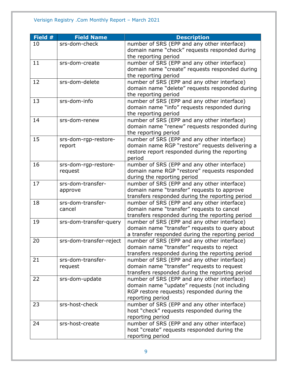| Field # | <b>Field Name</b>       | <b>Description</b>                               |
|---------|-------------------------|--------------------------------------------------|
| 10      | srs-dom-check           | number of SRS (EPP and any other interface)      |
|         |                         | domain name "check" requests responded during    |
|         |                         | the reporting period                             |
| 11      | srs-dom-create          | number of SRS (EPP and any other interface)      |
|         |                         | domain name "create" requests responded during   |
|         |                         | the reporting period                             |
| 12      | srs-dom-delete          | number of SRS (EPP and any other interface)      |
|         |                         | domain name "delete" requests responded during   |
|         |                         | the reporting period                             |
| 13      | srs-dom-info            | number of SRS (EPP and any other interface)      |
|         |                         | domain name "info" requests responded during     |
|         |                         | the reporting period                             |
| 14      | srs-dom-renew           | number of SRS (EPP and any other interface)      |
|         |                         | domain name "renew" requests responded during    |
|         |                         | the reporting period                             |
| 15      | srs-dom-rgp-restore-    | number of SRS (EPP and any other interface)      |
|         | report                  | domain name RGP "restore" requests delivering a  |
|         |                         | restore report responded during the reporting    |
|         |                         | period                                           |
| 16      | srs-dom-rgp-restore-    | number of SRS (EPP and any other interface)      |
|         | request                 | domain name RGP "restore" requests responded     |
|         |                         | during the reporting period                      |
| 17      | srs-dom-transfer-       | number of SRS (EPP and any other interface)      |
|         | approve                 | domain name "transfer" requests to approve       |
|         |                         | transfers responded during the reporting period  |
| 18      | srs-dom-transfer-       | number of SRS (EPP and any other interface)      |
|         | cancel                  | domain name "transfer" requests to cancel        |
|         |                         | transfers responded during the reporting period  |
| 19      | srs-dom-transfer-query  | number of SRS (EPP and any other interface)      |
|         |                         | domain name "transfer" requests to query about   |
|         |                         | a transfer responded during the reporting period |
| 20      | srs-dom-transfer-reject | number of SRS (EPP and any other interface)      |
|         |                         | domain name "transfer" requests to reject        |
|         |                         | transfers responded during the reporting period  |
| 21      | srs-dom-transfer-       | number of SRS (EPP and any other interface)      |
|         | request                 | domain name "transfer" requests to request       |
|         |                         | transfers responded during the reporting period  |
| 22      | srs-dom-update          | number of SRS (EPP and any other interface)      |
|         |                         | domain name "update" requests (not including     |
|         |                         | RGP restore requests) responded during the       |
|         |                         | reporting period                                 |
| 23      | srs-host-check          | number of SRS (EPP and any other interface)      |
|         |                         | host "check" requests responded during the       |
|         |                         | reporting period                                 |
| 24      | srs-host-create         | number of SRS (EPP and any other interface)      |
|         |                         | host "create" requests responded during the      |
|         |                         | reporting period                                 |